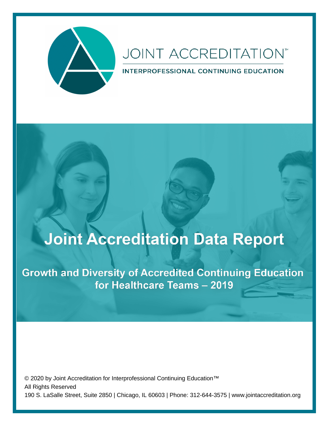

# **JOINT ACCREDITATION**<sup>™</sup>

INTERPROFESSIONAL CONTINUING EDUCATION

# **Joint Accreditation Data Report**

**Growth and Diversity of Accredited Continuing Education** for Healthcare Teams - 2019

© 2020 by Joint Accreditation for Interprofessional Continuing Education™ All Rights Reserved 190 S. LaSalle Street, Suite 2850 | Chicago, IL 60603 | Phone: 312-644-3575 | www.jointaccreditation.org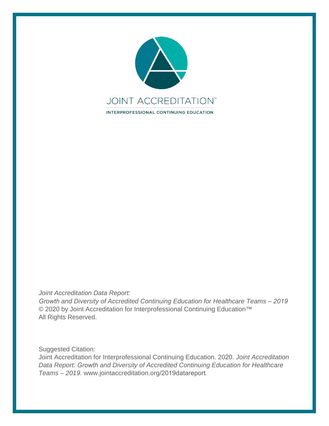

*Joint Accreditation Data Report:* 

*Growth and Diversity of Accredited Continuing Education for Healthcare Teams – 2019* © 2020 by Joint Accreditation for Interprofessional Continuing Education<sup>™</sup> All Rights Reserved.

Suggested Citation:

Joint Accreditation for Interprofessional Continuing Education. 2020. *Joint Accreditation Data Report: Growth and Diversity of Accredited Continuing Education for Healthcare Teams – 2019.* www.jointaccreditation.org/2019datareport*.*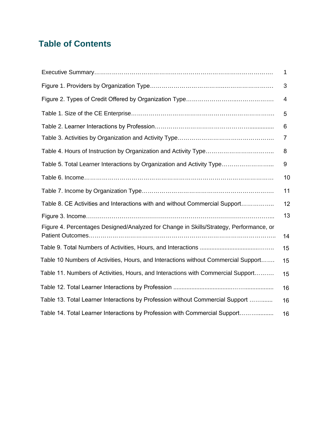# **Table of Contents**

|                                                                                        | 1  |
|----------------------------------------------------------------------------------------|----|
|                                                                                        | 3  |
|                                                                                        | 4  |
|                                                                                        | 5  |
|                                                                                        | 6  |
|                                                                                        | 7  |
|                                                                                        | 8  |
| Table 5. Total Learner Interactions by Organization and Activity Type                  | 9  |
|                                                                                        | 10 |
|                                                                                        | 11 |
| Table 8. CE Activities and Interactions with and without Commercial Support            | 12 |
|                                                                                        | 13 |
| Figure 4. Percentages Designed/Analyzed for Change in Skills/Strategy, Performance, or | 14 |
|                                                                                        | 15 |
| Table 10 Numbers of Activities, Hours, and Interactions without Commercial Support     | 15 |
| Table 11. Numbers of Activities, Hours, and Interactions with Commercial Support       | 15 |
|                                                                                        | 16 |
| Table 13. Total Learner Interactions by Profession without Commercial Support          | 16 |
| Table 14. Total Learner Interactions by Profession with Commercial Support             | 16 |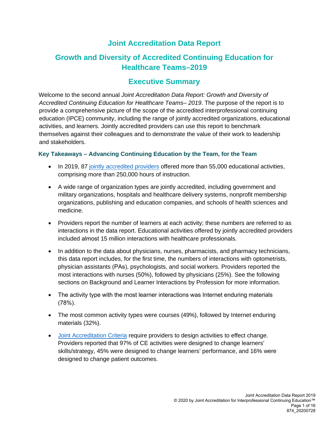# **Joint Accreditation Data Report**

# <span id="page-3-0"></span>**Growth and Diversity of Accredited Continuing Education for Healthcare Teams–2019**

# **Executive Summary**

Welcome to the second annual *Joint Accreditation Data Report: Growth and Diversity of Accredited Continuing Education for Healthcare Teams– 2019*. The purpose of the report is to provide a comprehensive picture of the scope of the accredited interprofessional continuing education (IPCE) community, including the range of jointly accredited organizations, educational activities, and learners. Jointly accredited providers can use this report to benchmark themselves against their colleagues and to demonstrate the value of their work to leadership and stakeholders.

## **Key Takeaways – Advancing Continuing Education by the Team, for the Team**

- In 2019, 87 jointly [accredited](https://www.jointaccreditation.org/accredited-providers) providers offered more than 55,000 educational activities, comprising more than 250,000 hours of instruction.
- A wide range of organization types are jointly accredited, including government and military organizations, hospitals and healthcare delivery systems, nonprofit membership organizations, publishing and education companies, and schools of health sciences and medicine.
- Providers report the number of learners at each activity; these numbers are referred to as interactions in the data report. Educational activities offered by jointly accredited providers included almost 15 million interactions with healthcare professionals.
- In addition to the data about physicians, nurses, pharmacists, and pharmacy technicians, this data report includes, for the first time, the numbers of interactions with optometrists, physician assistants (PAs), psychologists, and social workers. Providers reported the most interactions with nurses (50%), followed by physicians (25%). See the following sections on Background and Learner Interactions by Profession for more information.
- The activity type with the most learner interactions was Internet enduring materials (78%).
- The most common activity types were courses (49%), followed by Internet enduring materials (32%).
- Joint Accreditation Criteria require providers to design activities to effect change. Providers [reported that](https://www.jointaccreditation.org/joint-accreditation-criteria-0) 97% of CE activities were designed to change learners' skills/strategy, 45% were designed to change learners' performance, and 16% were designed to change patient outcomes.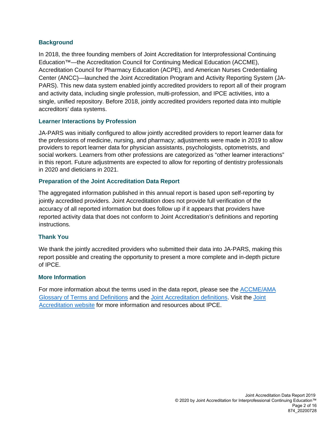## **Background**

In 2018, the three founding members of Joint Accreditation for Interprofessional Continuing Education™—the Accreditation Council for Continuing Medical Education (ACCME), Accreditation Council for Pharmacy Education (ACPE), and American Nurses Credentialing Center (ANCC)—launched the Joint Accreditation Program and Activity Reporting System (JA-PARS). This new data system enabled jointly accredited providers to report all of their program and activity data, including single profession, multi-profession, and IPCE activities, into a single, unified repository. Before 2018, jointly accredited providers reported data into multiple accreditors' data systems.

## **Learner Interactions by Profession**

JA-PARS was initially configured to allow jointly accredited providers to report learner data for the professions of medicine, nursing, and pharmacy; adjustments were made in 2019 to allow providers to report learner data for physician assistants, psychologists, optometrists, and social workers. Learners from other professions are categorized as "other learner interactions" in this report. Future adjustments are expected to allow for reporting of dentistry professionals in 2020 and dieticians in 2021.

## **Preparation of the Joint Accreditation Data Report**

The aggregated information published in this annual report is based upon self-reporting by jointly accredited providers. Joint Accreditation does not provide full verification of the accuracy of all reported information but does follow up if it appears that providers have reported activity data that does not conform to Joint Accreditation's definitions and reporting instructions.

## **Thank You**

We thank the jointly accredited providers who submitted their data into JA-PARS, making this report possible and creating the opportunity to present a more complete and in-depth picture of IPCE.

### **More Information**

For [more information about](http://www.accme.org/sites/default/files/2018-04/011_20170421_Glossary_of_Terms.pdf) the terms used in the data report, please see the AC[CME/AMA](https://www.jointaccreditation.org/)  [Glossary of Terms](https://www.jointaccreditation.org/) and Definitions and the [Joint Accreditation definitions.](https://www.jointaccreditation.org/definitions) Visit the Joint Accreditation website for more information and resources about IPCE.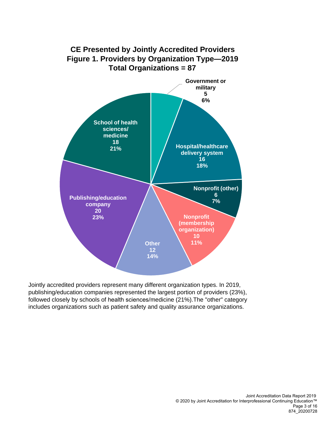<span id="page-5-0"></span>

Jointly accredited providers represent many different organization types. In 2019, publishing/education companies represented the largest portion of providers (23%), followed closely by schools of health sciences/medicine (21%).The "other" category includes organizations such as patient safety and quality assurance organizations.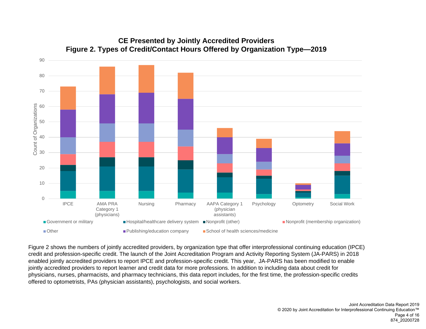<span id="page-6-0"></span>

# **CE Presented by Jointly Accredited Providers Figure 2. Types of Credit/Contact Hours Offered by Organization Type—2019**

Figure 2 shows the numbers of jointly accredited providers, by organization type that offer interprofessional continuing education (IPCE) credit and profession-specific credit. The launch of the Joint Accreditation Program and Activity Reporting System (JA-PARS) in 2018 enabled jointly accredited providers to report IPCE and profession-specific credit. This year, JA-PARS has been modified to enable jointly accredited providers to report learner and credit data for more professions. In addition to including data about credit for physicians, nurses, pharmacists, and pharmacy technicians, this data report includes, for the first time, the profession-specific credits offered to optometrists, PAs (physician assistants), psychologists, and social workers.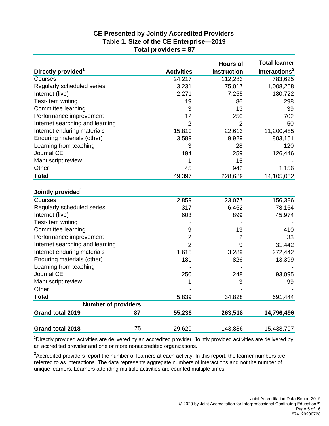# **CE Presented by Jointly Accredited Providers Table 1. Size of the CE Enterprise—2019 Total providers = 87**

<span id="page-7-0"></span>

|                                 |    |                   | <b>Hours of</b> | <b>Total learner</b>      |
|---------------------------------|----|-------------------|-----------------|---------------------------|
| Directly provided <sup>1</sup>  |    | <b>Activities</b> | instruction     | interactions <sup>2</sup> |
| Courses                         |    | 24,217            | 112,283         | 783,625                   |
| Regularly scheduled series      |    | 3,231             | 75,017          | 1,008,258                 |
| Internet (live)                 |    | 2,271             | 7,255           | 180,722                   |
| Test-item writing               |    | 19                | 86              | 298                       |
| Committee learning              |    | 3                 | 13              | 39                        |
| Performance improvement         |    | 12                | 250             | 702                       |
| Internet searching and learning |    | $\overline{2}$    | $\overline{2}$  | 50                        |
| Internet enduring materials     |    | 15,810            | 22,613          | 11,200,485                |
| Enduring materials (other)      |    | 3,589             | 9,929           | 803,151                   |
| Learning from teaching          |    | 3                 | 28              | 120                       |
| Journal CE                      |    | 194               | 259             | 126,446                   |
| Manuscript review               |    | 1                 | 15              |                           |
| Other                           |    | 45                | 942             | 1,156                     |
| <b>Total</b>                    |    | 49,397            | 228,689         | 14,105,052                |
| Jointly provided <sup>1</sup>   |    |                   |                 |                           |
| Courses                         |    | 2,859             | 23,077          | 156,386                   |
| Regularly scheduled series      |    | 317               | 6,462           | 78,164                    |
| Internet (live)                 |    | 603               | 899             | 45,974                    |
| Test-item writing               |    |                   |                 |                           |
| Committee learning              |    | 9                 | 13              | 410                       |
| Performance improvement         |    | $\overline{2}$    | $\overline{2}$  | 33                        |
| Internet searching and learning |    | $\overline{2}$    | 9               | 31,442                    |
| Internet enduring materials     |    | 1,615             | 3,289           | 272,442                   |
| Enduring materials (other)      |    | 181               | 826             | 13,399                    |
| Learning from teaching          |    |                   |                 |                           |
| Journal CE                      |    | 250               | 248             | 93,095                    |
| Manuscript review               |    | 1                 | 3               | 99                        |
| Other                           |    |                   |                 |                           |
| <b>Total</b>                    |    | 5,839             | 34,828          | 691,444                   |
| <b>Number of providers</b>      |    |                   |                 |                           |
| Grand total 2019                | 87 | 55,236            | 263,518         | 14,796,496                |
| <b>Grand total 2018</b>         | 75 | 29,629            | 143,886         | 15,438,797                |

<sup>1</sup>Directly provided activities are delivered by an accredited provider. Jointly provided activities are delivered by an accredited provider and one or more nonaccredited organizations.

<sup>2</sup>Accredited providers report the number of learners at each activity. In this report, the learner numbers are referred to as interactions. The data represents aggregate numbers of interactions and not the number of unique learners. Learners attending multiple activities are counted multiple times.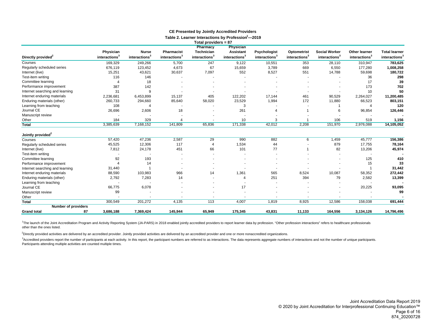<span id="page-8-0"></span>

|                                 |                           |                           |                           | Total providers = 87<br>Pharmacy | <b>Physician</b>          |                           |                           |                           |                           |                           |
|---------------------------------|---------------------------|---------------------------|---------------------------|----------------------------------|---------------------------|---------------------------|---------------------------|---------------------------|---------------------------|---------------------------|
|                                 | Physician                 | <b>Nurse</b>              | <b>Pharmacist</b>         | <b>Technician</b>                | <b>Assistant</b>          | Psychologist              | <b>Optometrist</b>        | <b>Social Worker</b>      | <b>Other learner</b>      | <b>Total learner</b>      |
| Directly provided <sup>2</sup>  | interactions <sup>3</sup> | interactions <sup>3</sup> | interactions <sup>3</sup> | interactions <sup>3</sup>        | interactions <sup>3</sup> | interactions <sup>3</sup> | interactions <sup>3</sup> | interactions <sup>3</sup> | interactions <sup>3</sup> | interactions <sup>3</sup> |
| Courses                         | 169,329                   | 249,266                   | 5,700                     | 247                              | 9,122                     | 10,551                    | 353                       | 28,110                    | 310,947                   | 783,625                   |
| Regularly scheduled series      | 676,119                   | 123,452                   | 4,673                     | 67                               | 15,659                    | 3,789                     | 669                       | 6,550                     | 177,280                   | 1,008,258                 |
| Internet (live)                 | 15,251                    | 43,621                    | 30,637                    | 7,097                            | 552                       | 8,527                     | 551                       | 14,788                    | 59,698                    | 180,722                   |
| Test-item writing               | 116                       | 146                       |                           |                                  |                           |                           |                           |                           | 36                        | 298                       |
| Committee learning              |                           | 18                        |                           |                                  |                           |                           |                           |                           | 17                        | 39                        |
| Performance improvement         | 387                       | 142                       |                           |                                  |                           |                           |                           |                           | 173                       | 702                       |
| Internet searching and learning | 31                        | 9                         |                           |                                  |                           |                           |                           |                           | 10                        | 50                        |
| Internet enduring materials     | 2,236,681                 | 6,453,899                 | 15,137                    | 405                              | 122,202                   | 17,144                    | 461                       | 90,529                    | 2,264,027                 | 11,200,485                |
| Enduring materials (other)      | 260,733                   | 294,660                   | 85,640                    | 58,020                           | 23,529                    | 1,994                     | 172                       | 11,880                    | 66,523                    | 803,151                   |
| Learning from teaching          | 108                       | Δ                         |                           |                                  | 3                         |                           |                           |                           | $\overline{4}$            | 120                       |
| Journal CE                      | 26,696                    | 2,606                     | 18                        |                                  | 261                       |                           |                           | 6                         | 96,854                    | 126,446                   |
| Manuscript review               |                           |                           |                           |                                  |                           |                           |                           |                           |                           |                           |
| Other                           | 184                       | 329                       | $\overline{4}$            |                                  | 10                        | 3                         |                           | 106                       | 519                       | 1,156                     |
| <b>Total</b>                    | 3,385,639                 | 7,168,152                 | 141,809                   | 65,836                           | 171,338                   | 42,012                    | 2,208                     | 151,970                   | 2,976,088                 | 14,105,052                |
|                                 |                           |                           |                           |                                  |                           |                           |                           |                           |                           |                           |
| Jointly provided <sup>2</sup>   |                           |                           |                           |                                  |                           |                           |                           |                           |                           |                           |
| Courses                         | 57,420                    | 47,236                    | 2,587                     | 29                               | 990                       | 882                       | 6                         | 1,459                     | 45,777                    | 156,386                   |
| Regularly scheduled series      | 45,525                    | 12,306                    | 117                       | 4                                | 1,534                     | 44                        |                           | 879                       | 17,755                    | 78,164                    |
| Internet (live)                 | 7,812                     | 24,178                    | 451                       | 66                               | 101                       | 77                        |                           | 82                        | 13,206                    | 45,974                    |
| Test-item writing               |                           |                           |                           |                                  |                           |                           |                           |                           |                           |                           |
| Committee learning              | 92                        | 193                       |                           |                                  |                           |                           |                           |                           | 125                       | 410                       |
| Performance improvement         |                           | 14                        |                           |                                  |                           |                           |                           |                           | 15                        | 33                        |
| Internet searching and learning | 31,440                    |                           |                           |                                  |                           |                           |                           |                           |                           | 31,442                    |
| Internet enduring materials     | 88,590                    | 103,983                   | 966                       | 14                               | 1,361                     | 565                       | 8,524                     | 10,087                    | 58,352                    | 272,442                   |
| Enduring materials (other)      | 2,792                     | 7,283                     | 14                        |                                  | 4                         | 251                       | 394                       | 79                        | 2,582                     | 13,399                    |
| Learning from teaching          |                           |                           |                           |                                  |                           |                           |                           |                           |                           |                           |
| Journal CE                      | 66,775                    | 6,078                     |                           |                                  | 17                        |                           |                           |                           | 20,225                    | 93,095                    |
| Manuscript review               | 99                        |                           |                           |                                  |                           |                           |                           |                           |                           | 99                        |
| Other                           |                           |                           |                           |                                  |                           |                           |                           |                           |                           |                           |
| <b>Total</b>                    | 300,549                   | 201,272                   | 4,135                     | 113                              | 4,007                     | 1,819                     | 8,925                     | 12,586                    | 158,038                   | 691,444                   |
| <b>Number of providers</b>      |                           |                           |                           |                                  |                           |                           |                           |                           |                           |                           |
| 87<br><b>Grand total</b>        | 3,686,188                 | 7,369,424                 | 145,944                   | 65,949                           | 175,345                   | 43,831                    | 11,133                    | 164,556                   | 3,134,126                 | 14,796,496                |

#### **CE Presented by Jointly Accredited Providers**

Table 2. Learner Interactions by Profession<sup>1</sup>-2019

<sup>1</sup>The launch of the Joint Accreditation Program and Activity Reporting System (JA-PARS) in 2018 enabled jointly accredited providers to report learner data by profession. "Other profession interactions" refers to healthca other than the ones listed.

<sup>2</sup>Directly provided activities are delivered by an accredited provider. Jointly provided activities are delivered by an accredited provider and one or more nonaccredited organizations.

<sup>3</sup>Accredited providers report the number of participants at each activity. In this report, the participant numbers are referred to as interactions. The data represents aggregate numbers of interactions and not the number Participants attending multiple activities are counted multiple times.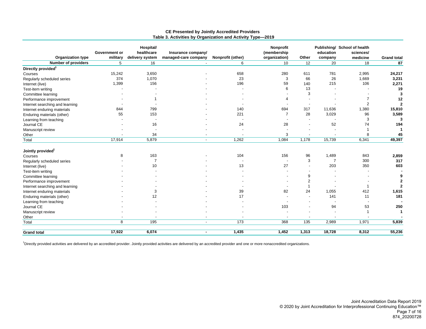<span id="page-9-0"></span>

| <b>Organization type</b>        | Government or<br>military | Hospital/<br>healthcare<br>delivery system | Insurance company/<br>managed-care company | Nonprofit (other) | <b>Nonprofit</b><br>(membership<br>organization) | Other                    | education<br>company     | Publishing/ School of health<br>sciences/<br>medicine | <b>Grand total</b> |
|---------------------------------|---------------------------|--------------------------------------------|--------------------------------------------|-------------------|--------------------------------------------------|--------------------------|--------------------------|-------------------------------------------------------|--------------------|
| <b>Number of providers</b>      | 5                         | 16                                         |                                            | 6                 | 10                                               | 12                       | 20                       | 18                                                    | 87                 |
| Directly provided <sup>1</sup>  |                           |                                            |                                            |                   |                                                  |                          |                          |                                                       |                    |
| Courses                         | 15,242                    | 3,650                                      |                                            | 658               | 280                                              | 611                      | 781                      | 2,995                                                 | 24,217             |
| Regularly scheduled series      | 374                       | 1,070                                      |                                            | 23                | 3                                                | 66                       | 26                       | 1,669                                                 | 3,231              |
| Internet (live)                 | 1,399                     | 156                                        |                                            | 196               | 59                                               | 140                      | 215                      | 106                                                   | 2,271              |
| Test-item writing               |                           |                                            |                                            |                   | 6                                                | 13                       |                          |                                                       | 19                 |
| Committee learning              |                           |                                            |                                            |                   |                                                  | 3                        |                          |                                                       | 3                  |
| Performance improvement         |                           |                                            |                                            |                   | 4                                                |                          |                          | $\overline{7}$                                        | 12                 |
| Internet searching and learning |                           |                                            |                                            |                   |                                                  | $\overline{\phantom{0}}$ |                          | $\overline{2}$                                        | $\mathbf{2}$       |
| Internet enduring materials     | 844                       | 799                                        |                                            | 140               | 694                                              | 317                      | 11,636                   | 1,380                                                 | 15,810             |
| Enduring materials (other)      | 55                        | 153                                        |                                            | 221               | $\overline{7}$                                   | 28                       | 3,029                    | 96                                                    | 3,589              |
| Learning from teaching          |                           |                                            |                                            |                   |                                                  |                          |                          | 3                                                     | 3                  |
| Journal CE                      |                           | 16                                         |                                            | 24                | 28                                               | $\overline{\phantom{a}}$ | 52                       | 74                                                    | 194                |
| Manuscript review               |                           |                                            |                                            |                   |                                                  |                          |                          |                                                       | $\mathbf 1$        |
| Other                           |                           | 34                                         |                                            |                   | 3                                                |                          |                          | 8                                                     | 45                 |
| Total                           | 17,914                    | 5,879                                      | $\overline{\phantom{a}}$                   | 1,262             | 1,084                                            | 1,178                    | 15,739                   | 6,341                                                 | 49,397             |
| Jointly provided <sup>1</sup>   |                           |                                            |                                            |                   |                                                  |                          |                          |                                                       |                    |
| Courses                         | 8                         | 163                                        |                                            | 104               | 156                                              | 96                       | 1,489                    | 843                                                   | 2,859              |
| Regularly scheduled series      |                           | $\overline{7}$                             |                                            |                   |                                                  | 3                        | $\overline{7}$           | 300                                                   | 317                |
| Internet (live)                 |                           | 10                                         |                                            | 13                | 27                                               | $\overline{\phantom{a}}$ | 203                      | 350                                                   | 603                |
| Test-item writing               |                           |                                            |                                            |                   |                                                  |                          |                          |                                                       |                    |
| Committee learning              |                           |                                            |                                            |                   |                                                  | 9                        |                          |                                                       | 9                  |
| Performance improvement         |                           |                                            |                                            |                   |                                                  | $\overline{2}$           |                          |                                                       | $\mathbf{2}$       |
| Internet searching and learning |                           |                                            |                                            |                   |                                                  | 1                        |                          | -1                                                    | $\mathbf{2}$       |
| Internet enduring materials     |                           | 3                                          |                                            | 39                | 82                                               | 24                       | 1,055                    | 412                                                   | 1,615              |
| Enduring materials (other)      |                           | 12                                         |                                            | 17                |                                                  | $\overline{\phantom{0}}$ | 141                      | 11                                                    | 181                |
| Learning from teaching          |                           |                                            |                                            |                   |                                                  |                          | $\overline{\phantom{a}}$ |                                                       |                    |
| Journal CE                      |                           |                                            |                                            |                   | 103                                              |                          | 94                       | 53                                                    | 250                |
| Manuscript review               |                           |                                            |                                            |                   |                                                  |                          | $\overline{\phantom{a}}$ |                                                       | $\mathbf 1$        |
| Other                           |                           |                                            |                                            |                   |                                                  | $\overline{\phantom{a}}$ |                          |                                                       |                    |
| Total                           | $\overline{8}$            | 195                                        | $\overline{\phantom{a}}$                   | 173               | 368                                              | 135                      | 2,989                    | 1,971                                                 | 5,839              |
| <b>Grand total</b>              | 17,922                    | 6,074                                      |                                            | 1,435             | 1,452                                            | 1,313                    | 18,728                   | 8,312                                                 | 55,236             |

#### **CE Presented by Jointly Accredited Providers Table 3. Activities by Organization and Activity Type—2019**

1Directly provided activities are delivered by an accredited provider. Jointly provided activities are delivered by an accredited provider and one or more nonaccredited organizations.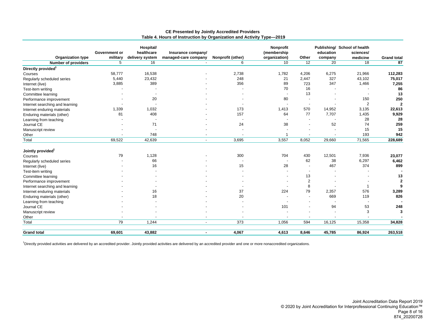<span id="page-10-0"></span>

|                                 | Government or | Hospital/<br>healthcare | Insurance company/       |                   | Nonprofit<br>(membership |                          | education | Publishing/ School of health<br>sciences/ |                    |
|---------------------------------|---------------|-------------------------|--------------------------|-------------------|--------------------------|--------------------------|-----------|-------------------------------------------|--------------------|
| <b>Organization type</b>        | military      | delivery system         | managed-care company     | Nonprofit (other) | organization)            | Other                    | company   | medicine                                  | <b>Grand total</b> |
| <b>Number of providers</b>      | 5             | 16                      |                          | 6                 | 10                       | 12                       | 20        | 18                                        | 87                 |
| Directly provided <sup>1</sup>  |               |                         |                          |                   |                          |                          |           |                                           |                    |
| Courses                         | 58,777        | 16,538                  |                          | 2,738             | 1,782                    | 4,206                    | 6,275     | 21,966                                    | 112,283            |
| Regularly scheduled series      | 5,440         | 23,432                  |                          | 248               | 21                       | 2,447                    | 327       | 43,102                                    | 75,017             |
| Internet (live)                 | 3,885         | 389                     |                          | 356               | 89                       | 723                      | 347       | 1,466                                     | 7,255              |
| Test-item writing               |               |                         |                          |                   | 70                       | 16                       |           |                                           | 86                 |
| Committee learning              |               |                         |                          |                   |                          | 13                       |           |                                           | 13                 |
| Performance improvement         |               | 20                      |                          |                   | 80                       | $\overline{\phantom{a}}$ |           | 150                                       | 250                |
| Internet searching and learning |               |                         |                          |                   |                          | $\overline{\phantom{a}}$ |           | $\overline{2}$                            | $\overline{2}$     |
| Internet enduring materials     | 1,339         | 1,032                   |                          | 173               | 1,413                    | 570                      | 14,952    | 3,135                                     | 22,613             |
| Enduring materials (other)      | 81            | 408                     |                          | 157               | 64                       | 77                       | 7,707     | 1,435                                     | 9,929              |
| Learning from teaching          |               |                         |                          |                   |                          |                          |           | 28                                        | 28                 |
| Journal CE                      |               | 71                      |                          | 24                | 38                       |                          | 52        | 74                                        | 259                |
| Manuscript review               |               |                         |                          |                   |                          |                          |           | 15                                        | 15                 |
| Other                           |               | 748                     |                          |                   |                          |                          |           | 193                                       | 942                |
| Total                           | 69,522        | 42,639                  | $\sim$                   | 3,695             | 3,557                    | 8,052                    | 29,660    | 71,565                                    | 228,689            |
| Jointly provided <sup>1</sup>   |               |                         |                          |                   |                          |                          |           |                                           |                    |
| Courses                         | 79            | 1,128                   |                          | 300               | 704                      | 430                      | 12,501    | 7,936                                     | 23,077             |
| Regularly scheduled series      |               | 66                      |                          |                   |                          | 62                       | 38        | 6,297                                     | 6,462              |
| Internet (live)                 |               | 16                      |                          | 15                | 28                       | $\overline{\phantom{a}}$ | 467       | 374                                       | 899                |
| Test-item writing               |               |                         |                          |                   |                          | $\overline{\phantom{a}}$ |           |                                           |                    |
| Committee learning              |               |                         |                          |                   |                          | 13                       |           |                                           | 13                 |
| Performance improvement         |               |                         |                          |                   |                          | $\overline{2}$           |           |                                           | $\mathbf{2}$       |
| Internet searching and learning |               |                         |                          |                   |                          | 8                        |           |                                           | 9                  |
| Internet enduring materials     |               | 16                      |                          | 37                | 224                      | 79                       | 2,357     | 576                                       | 3,289              |
| Enduring materials (other)      |               | 18                      |                          | 20                |                          | $\overline{\phantom{a}}$ | 669       | 119                                       | 826                |
| Learning from teaching          |               |                         |                          |                   |                          |                          |           |                                           |                    |
| Journal CE                      |               |                         |                          |                   | 101                      | $\overline{\phantom{0}}$ | 94        | 53                                        | 248                |
| Manuscript review               |               |                         |                          |                   |                          |                          |           | 3                                         | 3                  |
| Other                           |               |                         |                          |                   |                          |                          |           |                                           |                    |
| Total                           | 79            | 1,244                   | $\overline{\phantom{a}}$ | 373               | 1,056                    | 594                      | 16,125    | 15,358                                    | 34,828             |
|                                 |               |                         |                          |                   |                          |                          |           |                                           |                    |
| <b>Grand total</b>              | 69,601        | 43,882                  | $\blacksquare$           | 4,067             | 4,613                    | 8,646                    | 45,785    | 86,924                                    | 263,518            |

#### **CE Presented by Jointly Accredited Providers Table 4. Hours of Instruction by Organization and Activity Type—2019**

1Directly provided activities are delivered by an accredited provider. Jointly provided activities are delivered by an accredited provider and one or more nonaccredited organizations.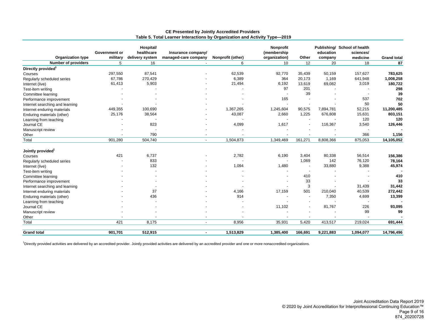<span id="page-11-0"></span>

| <b>Organization type</b>        | Government or<br>military | Hospital/<br>healthcare<br>delivery system | Insurance company/<br>managed-care company | Nonprofit (other) | <b>Nonprofit</b><br>(membership<br>organization) | Other                    | education<br>company | Publishing/ School of health<br>sciences/<br>medicine | <b>Grand total</b> |
|---------------------------------|---------------------------|--------------------------------------------|--------------------------------------------|-------------------|--------------------------------------------------|--------------------------|----------------------|-------------------------------------------------------|--------------------|
| <b>Number of providers</b>      | 5                         | 16                                         |                                            | 6                 | 10                                               | 12                       | 20                   | 18                                                    | 87                 |
| Directly provided <sup>1</sup>  |                           |                                            |                                            |                   |                                                  |                          |                      |                                                       |                    |
| Courses                         | 297,550                   | 87,541                                     |                                            | 62,539            | 92,770                                           | 35,439                   | 50,159               | 157,627                                               | 783,625            |
| Regularly scheduled series      | 67,786                    | 270,429                                    |                                            | 6,389             | 364                                              | 20,173                   | 1,169                | 641,948                                               | 1,008,258          |
| Internet (live)                 | 61,413                    | 5,903                                      |                                            | 21,494            | 6,192                                            | 13,619                   | 69,082               | 3,019                                                 | 180,722            |
| Test-item writing               |                           |                                            |                                            |                   | 97                                               | 201                      |                      |                                                       | 298                |
| Committee learning              |                           |                                            |                                            |                   |                                                  | 39                       |                      |                                                       | 39                 |
| Performance improvement         |                           |                                            |                                            |                   | 165                                              |                          |                      | 537                                                   | 702                |
| Internet searching and learning |                           |                                            |                                            |                   |                                                  |                          |                      | 50                                                    | 50                 |
| Internet enduring materials     | 449,355                   | 100,690                                    |                                            | 1,367,265         | 1,245,604                                        | 90,575                   | 7,894,781            | 52,215                                                | 11,200,485         |
| Enduring materials (other)      | 25,176                    | 38,564                                     |                                            | 43,087            | 2,660                                            | 1,225                    | 676,808              | 15,631                                                | 803,151            |
| Learning from teaching          |                           |                                            |                                            |                   |                                                  |                          |                      | 120                                                   | 120                |
| Journal CE                      |                           | 823                                        |                                            | 4,099             | 1,617                                            |                          | 116,367              | 3,540                                                 | 126,446            |
| Manuscript review               |                           |                                            |                                            |                   |                                                  |                          |                      |                                                       |                    |
| Other                           |                           | 790                                        |                                            |                   |                                                  |                          |                      | 366                                                   | 1,156              |
| Total                           | 901,280                   | 504,740                                    | $\overline{\phantom{a}}$                   | 1,504,873         | 1,349,469                                        | 161,271                  | 8,808,366            | 875,053                                               | 14,105,052         |
| Jointly provided <sup>1</sup>   |                           |                                            |                                            |                   |                                                  |                          |                      |                                                       |                    |
| Courses                         | 421                       | 6,737                                      |                                            | 2,782             | 6,190                                            | 3,404                    | 80,338               | 56,514                                                | 156,386            |
| Regularly scheduled series      |                           | 833                                        |                                            |                   |                                                  | 1,069                    | 142                  | 76,120                                                | 78,164             |
| Internet (live)                 |                           | 132                                        |                                            | 1,094             | 1,480                                            | $\overline{\phantom{a}}$ | 33,880               | 9,388                                                 | 45,974             |
| Test-item writing               |                           |                                            |                                            |                   |                                                  | $\overline{\phantom{a}}$ |                      |                                                       |                    |
| Committee learning              |                           |                                            |                                            |                   |                                                  | 410                      |                      |                                                       | 410                |
| Performance improvement         |                           |                                            |                                            |                   |                                                  | 33                       |                      |                                                       | 33                 |
| Internet searching and learning |                           |                                            |                                            |                   |                                                  | 3                        |                      | 31,439                                                | 31,442             |
| Internet enduring materials     |                           | 37                                         |                                            | 4,166             | 17,159                                           | 501                      | 210,040              | 40,539                                                | 272,442            |
| Enduring materials (other)      |                           | 436                                        |                                            | 914               |                                                  | $\blacksquare$           | 7,350                | 4,699                                                 | 13,399             |
| Learning from teaching          |                           |                                            |                                            |                   |                                                  |                          |                      |                                                       |                    |
| Journal CE                      |                           |                                            |                                            |                   | 11,102                                           | $\blacksquare$           | 81,767               | 226                                                   | 93,095             |
| Manuscript review               |                           |                                            |                                            |                   |                                                  |                          |                      | 99                                                    | 99                 |
| Other                           |                           |                                            |                                            |                   |                                                  |                          |                      |                                                       |                    |
| Total                           | 421                       | 8,175                                      | $\overline{\phantom{a}}$                   | 8,956             | 35,931                                           | 5,420                    | 413,517              | 219,024                                               | 691,444            |
| <b>Grand total</b>              | 901,701                   | 512,915                                    | $\blacksquare$                             | 1,513,829         | 1,385,400                                        | 166,691                  | 9,221,883            | 1,094,077                                             | 14,796,496         |

#### **CE Presented by Jointly Accredited Providers Table 5. Total Learner Interactions by Organization and Activity Type—2019**

1Directly provided activities are delivered by an accredited provider. Jointly provided activities are delivered by an accredited provider and one or more nonaccredited organizations.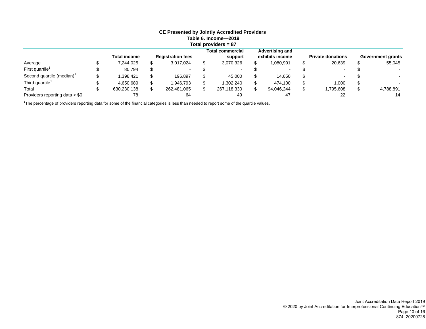<span id="page-12-0"></span>

| <b>CE Presented by Jointly Accredited Providers</b><br>Table 6. Income-2019<br>Total providers $= 87$ |  |              |  |                          |    |                                    |    |                                           |  |                          |    |                          |
|-------------------------------------------------------------------------------------------------------|--|--------------|--|--------------------------|----|------------------------------------|----|-------------------------------------------|--|--------------------------|----|--------------------------|
|                                                                                                       |  | Total income |  | <b>Registration fees</b> |    | <b>Total commercial</b><br>support |    | <b>Advertising and</b><br>exhibits income |  | <b>Private donations</b> |    | <b>Government grants</b> |
| Average                                                                                               |  | 7,244,025    |  | 3,017,024                | \$ | 3,070,326                          |    | 1,080,991                                 |  | 20.639                   |    | 55,045                   |
| First quartile <sup>1</sup>                                                                           |  | 80,794       |  |                          |    |                                    |    |                                           |  |                          |    |                          |
| Second quartile (median)                                                                              |  | 1,398,421    |  | 196.897                  | \$ | 45,000                             | \$ | 14,650                                    |  |                          |    |                          |
| Third quartile <sup>1</sup>                                                                           |  | 4.650.689    |  | 1,946,793                | \$ | 1.302.240                          |    | 474,100                                   |  | 1,000                    | æ  |                          |
| Total                                                                                                 |  | 630,230,138  |  | 262,481,065              | \$ | 267,118,330                        |    | 94,046,244                                |  | 1,795,608                | \$ | 4,788,891                |
| Providers reporting data $> $0$                                                                       |  | 78           |  | 64                       |    | 49                                 |    | 47                                        |  |                          |    | 14                       |

<sup>1</sup>The percentage of providers reporting data for some of the financial categories is less than needed to report some of the quartile values.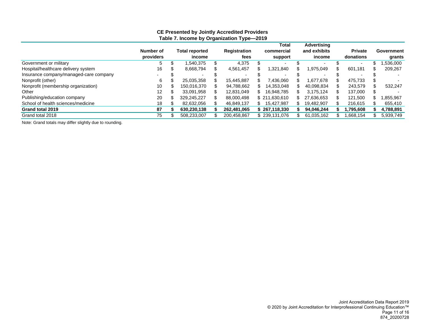<span id="page-13-0"></span>

|                                        |           | . .                   | . .          |    |               |                    |                |            |
|----------------------------------------|-----------|-----------------------|--------------|----|---------------|--------------------|----------------|------------|
|                                        |           |                       |              |    | Total         | <b>Advertising</b> |                |            |
|                                        | Number of | <b>Total reported</b> | Registration |    | commercial    | and exhibits       | <b>Private</b> | Government |
|                                        | providers | income                | fees         |    | support       | income             | donations      | grants     |
| Government or military                 | 5         | .540.375              | 4,375        |    |               |                    |                | .536,000   |
| Hospital/healthcare delivery system    | 16        | 8,668,794             | 4,561,457    |    | 1,321,840     | 975,049.           | 601,181        | 209,267    |
| Insurance company/managed-care company |           |                       |              |    |               |                    |                |            |
| Nonprofit (other)                      | 6         | 25,035,358            | 15.445.887   |    | .436.060      | 1.677.678          | 475,733        |            |
| Nonprofit (membership organization)    | 10        | 150.016.370           | 94.788.662   |    | 14.353.048    | 40.098.834         | 243,579        | 532.247    |
| Other                                  | 12        | 33.091.958            | 12.831.049   | S. | 16.948.785    | 3.175.124          | 137.000        |            |
| Publishing/education company           | 20        | 329.245.227           | 88,000.498   |    | \$211.630.610 | 27.636.653         | 121.500        | 855,967    |
| School of health sciences/medicine     | 18        | 82,632,056            | 46.849.137   |    | 15.427.987    | 19,482,907         | 216,615        | 655,410    |
| Grand total 2019                       | 87        | 630,230,138           | 262,481,065  |    | \$267,118,330 | 94,046,244         | ,795,608       | 4,788,891  |
| Grand total 2018                       | 75        | 508,233,007           | 200,458,867  |    | \$239,131,076 | 61,035,162         | ,668,154       | 5,939,749  |
|                                        |           |                       |              |    |               |                    |                |            |

#### **CE Presented by Jointly Accredited Providers Table 7. Income by Organization Type—2019**

Note: Grand totals may differ slightly due to rounding.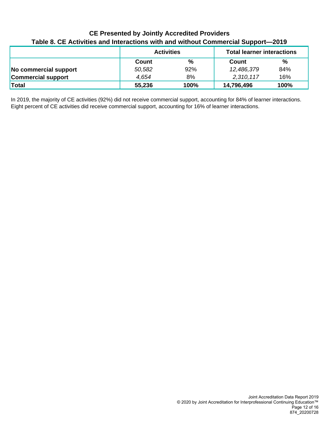<span id="page-14-0"></span>

| <b>CE Presented by Jointly Accredited Providers</b>                              |
|----------------------------------------------------------------------------------|
| Table 8. CE Activities and Interactions with and without Commercial Support-2019 |

|                           | <b>Activities</b> |               | <b>Total learner interactions</b> |      |  |  |
|---------------------------|-------------------|---------------|-----------------------------------|------|--|--|
|                           | Count             | $\frac{9}{6}$ | Count                             | %    |  |  |
| No commercial support     | 50,582            | 92%           | 12,486,379                        | 84%  |  |  |
| <b>Commercial support</b> | 4.654             | 8%            | 2,310,117                         | 16%  |  |  |
| <b>Total</b>              | 55,236            | 100%          | 14,796,496                        | 100% |  |  |

In 2019, the majority of CE activities (92%) did not receive commercial support, accounting for 84% of learner interactions. Eight percent of CE activities did receive commercial support, accounting for 16% of learner interactions.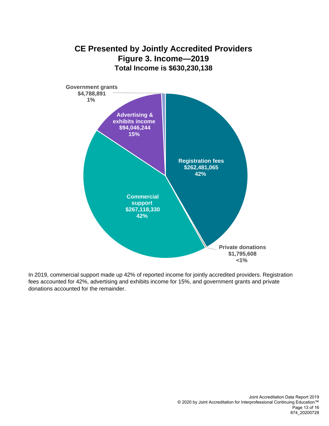<span id="page-15-0"></span>

In 2019, commercial support made up 42% of reported income for jointly accredited providers. Registration fees accounted for 42%, advertising and exhibits income for 15%, and government grants and private donations accounted for the remainder.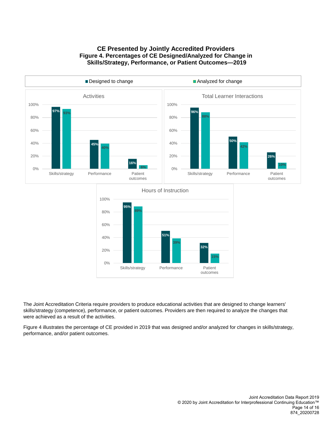<span id="page-16-0"></span>

## **CE Presented by Jointly Accredited Providers Figure 4. Percentages of CE Designed/Analyzed for Change in Skills/Strategy, Performance, or Patient Outcomes—2019**



The Joint Accreditation Criteria require providers to produce educational activities that are designed to change learners' skills/strategy (competence), performance, or patient outcomes. Providers are then required to analyze the changes that were achieved as a result of the activities.

Figure 4 illustrates the percentage of CE provided in 2019 that was designed and/or analyzed for changes in skills/strategy, performance, and/or patient outcomes.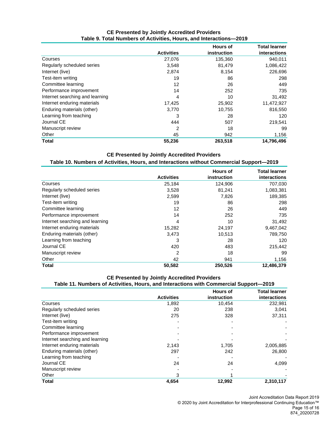<span id="page-17-0"></span>

|                                 |                   | <b>Hours of</b> | <b>Total learner</b> |
|---------------------------------|-------------------|-----------------|----------------------|
|                                 | <b>Activities</b> | instruction     | interactions         |
| Courses                         | 27,076            | 135,360         | 940,011              |
| Regularly scheduled series      | 3,548             | 81,479          | 1,086,422            |
| Internet (live)                 | 2,874             | 8,154           | 226,696              |
| Test-item writing               | 19                | 86              | 298                  |
| Committee learning              | 12                | 26              | 449                  |
| Performance improvement         | 14                | 252             | 735                  |
| Internet searching and learning | 4                 | 10              | 31,492               |
| Internet enduring materials     | 17,425            | 25,902          | 11,472,927           |
| Enduring materials (other)      | 3,770             | 10,755          | 816,550              |
| Learning from teaching          | 3                 | 28              | 120                  |
| Journal CE                      | 444               | 507             | 219,541              |
| Manuscript review               | 2                 | 18              | 99                   |
| Other                           | 45                | 942             | 1,156                |
| <b>Total</b>                    | 55,236            | 263,518         | 14,796,496           |

#### **CE Presented by Jointly Accredited Providers Table 9. Total Numbers of Activities, Hours, and Interactions—2019**

#### **CE Presented by Jointly Accredited Providers Table 10. Numbers of Activities, Hours, and Interactions without Commercial Support—2019**

|                                 |                   | <b>Hours of</b> | <b>Total learner</b> |
|---------------------------------|-------------------|-----------------|----------------------|
|                                 | <b>Activities</b> | instruction     | interactions         |
| Courses                         | 25,184            | 124,906         | 707,030              |
| Regularly scheduled series      | 3,528             | 81,241          | 1,083,381            |
| Internet (live)                 | 2,599             | 7,826           | 189,385              |
| Test-item writing               | 19                | 86              | 298                  |
| Committee learning              | 12                | 26              | 449                  |
| Performance improvement         | 14                | 252             | 735                  |
| Internet searching and learning | 4                 | 10              | 31,492               |
| Internet enduring materials     | 15,282            | 24,197          | 9,467,042            |
| Enduring materials (other)      | 3,473             | 10,513          | 789,750              |
| Learning from teaching          | 3                 | 28              | 120                  |
| Journal CE                      | 420               | 483             | 215,442              |
| Manuscript review               | 2                 | 18              | 99                   |
| Other                           | 42                | 941             | 1,156                |
| <b>Total</b>                    | 50,582            | 250,526         | 12,486,379           |

#### **CE Presented by Jointly Accredited Providers Table 11. Numbers of Activities, Hours, and Interactions with Commercial Support—2019**

|                                 |                   | <b>Hours of</b> | <b>Total learner</b> |
|---------------------------------|-------------------|-----------------|----------------------|
|                                 | <b>Activities</b> | instruction     | <b>interactions</b>  |
| Courses                         | 1,892             | 10,454          | 232,981              |
| Regularly scheduled series      | 20                | 238             | 3,041                |
| Internet (live)                 | 275               | 328             | 37,311               |
| Test-item writing               |                   |                 |                      |
| Committee learning              |                   |                 |                      |
| Performance improvement         |                   |                 |                      |
| Internet searching and learning |                   |                 |                      |
| Internet enduring materials     | 2,143             | 1,705           | 2,005,885            |
| Enduring materials (other)      | 297               | 242             | 26,800               |
| Learning from teaching          |                   |                 |                      |
| Journal CE                      | 24                | 24              | 4,099                |
| Manuscript review               |                   |                 |                      |
| Other                           | 3                 |                 |                      |
| <b>Total</b>                    | 4.654             | 12,992          | 2,310,117            |

Joint Accreditation Data Report 2019

© 2020 by Joint Accreditation for Interprofessional Continuing Education™ Page 15 of 16 874\_20200728